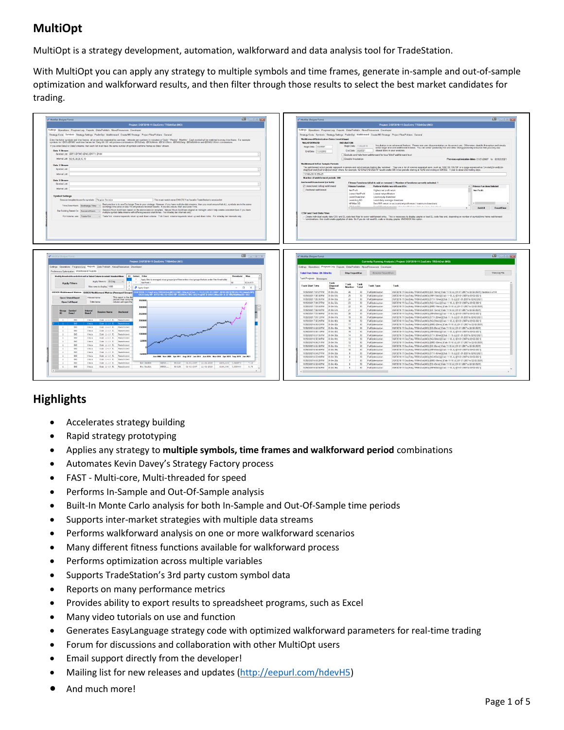# **MultiOpt**

MultiOpt is a strategy development, automation, walkforward and data analysis tool for TradeStation.

With MultiOpt you can apply any strategy to multiple symbols and time frames, generate in-sample and out-of-sample optimization and walkforward results, and then filter through those results to select the best market candidates for trading.



# **Highlights**

- Accelerates strategy building
- Rapid strategy prototyping
- Applies any strategy to **multiple symbols, time frames and walkforward period** combinations
- Automates Kevin Davey's Strategy Factory process
- FAST Multi-core, Multi-threaded for speed
- Performs In-Sample and Out-Of-Sample analysis
- Built-In Monte Carlo analysis for both In-Sample and Out-Of-Sample time periods
- Supports inter-market strategies with multiple data streams
- Performs walkforward analysis on one or more walkforward scenarios
- Many different fitness functions available for walkforward process
- Performs optimization across multiple variables
- Supports TradeStation's 3rd party custom symbol data
- Reports on many performance metrics
- Provides ability to export results to spreadsheet programs, such as Excel
- Many video tutorials on use and function
- Generates EasyLanguage strategy code with optimized walkforward parameters for real-time trading
- Forum for discussions and collaboration with other MultiOpt users
- Email support directly from the developer!
- Mailing list for new releases and updates [\(http://eepurl.com/hdevH5\)](http://eepurl.com/hdevH5)
- And much more!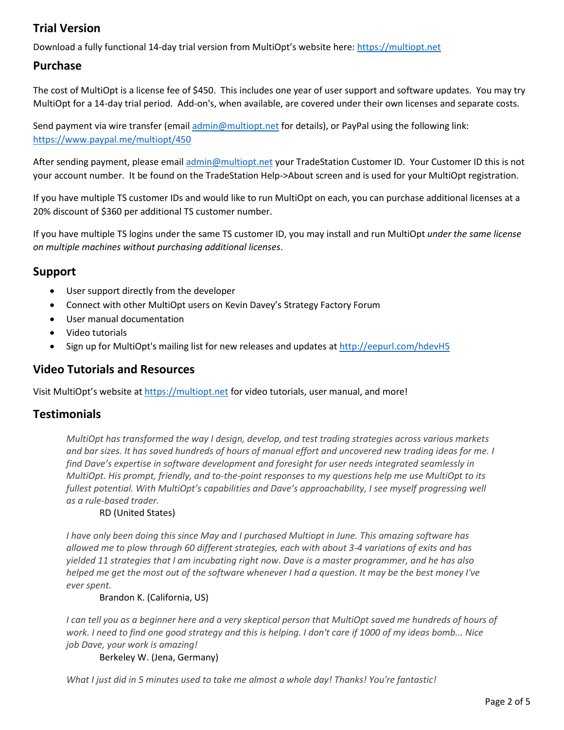# **Trial Version**

Download a fully functional 14-day trial version from MultiOpt's website here[: https://multiopt.net](https://multiopt.net/)

### **Purchase**

The cost of MultiOpt is a license fee of \$450. This includes one year of user support and software updates. You may try MultiOpt for a 14-day trial period. Add-on's, when available, are covered under their own licenses and separate costs.

Send payment via wire transfer (emai[l admin@multiopt.net](mailto:admin@multiopt.net) for details), or PayPal using the following link: <https://www.paypal.me/multiopt/450>

After sending payment, please email [admin@multiopt.net](mailto:admin@multiopt.net) your TradeStation Customer ID. Your Customer ID this is not your account number. It be found on the TradeStation Help->About screen and is used for your MultiOpt registration.

If you have multiple TS customer IDs and would like to run MultiOpt on each, you can purchase additional licenses at a 20% discount of \$360 per additional TS customer number.

If you have multiple TS logins under the same TS customer ID, you may install and run MultiOpt *under the same license on multiple machines without purchasing additional licenses*.

## **Support**

- User support directly from the developer
- Connect with other MultiOpt users on Kevin Davey's Strategy Factory Forum
- User manual documentation
- Video tutorials
- Sign up for MultiOpt's mailing list for new releases and updates a[t http://eepurl.com/hdevH5](http://eepurl.com/hdevH5)

### **Video Tutorials and Resources**

Visit MultiOpt's website at [https://multiopt.net](https://multiopt.net/) for video tutorials, user manual, and more!

### **Testimonials**

*MultiOpt has transformed the way I design, develop, and test trading strategies across various markets and bar sizes. It has saved hundreds of hours of manual effort and uncovered new trading ideas for me. I find Dave's expertise in software development and foresight for user needs integrated seamlessly in MultiOpt. His prompt, friendly, and to-the-point responses to my questions help me use MultiOpt to its fullest potential. With MultiOpt's capabilities and Dave's approachability, I see myself progressing well as a rule-based trader.*

#### RD (United States)

*I have only been doing this since May and I purchased Multiopt in June. This amazing software has allowed me to plow through 60 different strategies, each with about 3-4 variations of exits and has yielded 11 strategies that I am incubating right now. Dave is a master programmer, and he has also helped me get the most out of the software whenever I had a question. It may be the best money I've ever spent.*

#### Brandon K. (California, US)

*I* can tell you as a beginner here and a very skeptical person that MultiOpt saved me hundreds of hours of *work. I need to find one good strategy and this is helping. I don't care if 1000 of my ideas bomb... Nice job Dave, your work is amazing!*

Berkeley W. (Jena, Germany)

*What I just did in 5 minutes used to take me almost a whole day! Thanks! You're fantastic!*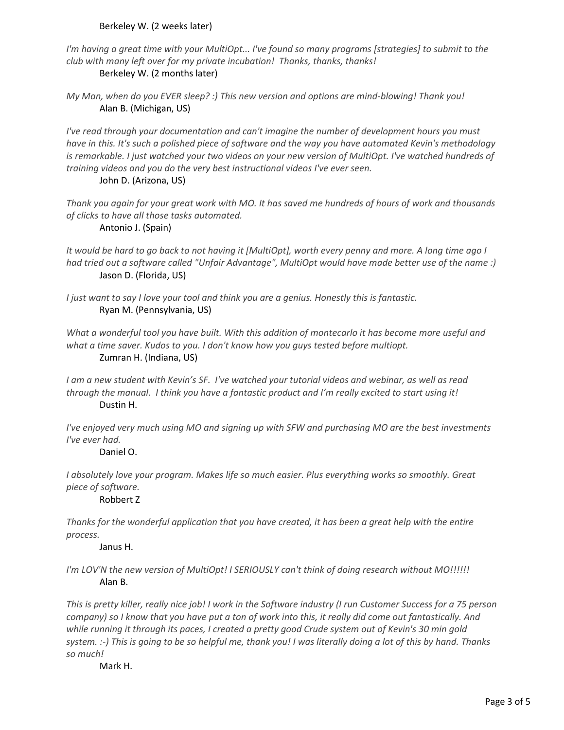#### Berkeley W. (2 weeks later)

*I'm having a great time with your MultiOpt... I've found so many programs [strategies] to submit to the club with many left over for my private incubation! Thanks, thanks, thanks!*

Berkeley W. (2 months later)

*My Man, when do you EVER sleep? :) This new version and options are mind-blowing! Thank you!* Alan B. (Michigan, US)

*I've read through your documentation and can't imagine the number of development hours you must have in this. It's such a polished piece of software and the way you have automated Kevin's methodology is remarkable. I just watched your two videos on your new version of MultiOpt. I've watched hundreds of training videos and you do the very best instructional videos I've ever seen.*

#### John D. (Arizona, US)

*Thank you again for your great work with MO. It has saved me hundreds of hours of work and thousands of clicks to have all those tasks automated.*

#### Antonio J. (Spain)

*It would be hard to go back to not having it [MultiOpt], worth every penny and more. A long time ago I had tried out a software called "Unfair Advantage", MultiOpt would have made better use of the name :)* Jason D. (Florida, US)

*I just want to say I love your tool and think you are a genius. Honestly this is fantastic.* Ryan M. (Pennsylvania, US)

*What a wonderful tool you have built. With this addition of montecarlo it has become more useful and what a time saver. Kudos to you. I don't know how you guys tested before multiopt.* Zumran H. (Indiana, US)

*I am a new student with Kevin's SF. I've watched your tutorial videos and webinar, as well as read through the manual. I think you have a fantastic product and I'm really excited to start using it!* Dustin H.

*I've enjoyed very much using MO and signing up with SFW and purchasing MO are the best investments I've ever had.*

#### Daniel O.

*I absolutely love your program. Makes life so much easier. Plus everything works so smoothly. Great piece of software.*

#### Robbert Z

*Thanks for the wonderful application that you have created, it has been a great help with the entire process.*

#### Janus H.

*I'm LOV'N the new version of MultiOpt! I SERIOUSLY can't think of doing research without MO!!!!!!* Alan B.

*This is pretty killer, really nice job! I work in the Software industry (I run Customer Success for a 75 person company) so I know that you have put a ton of work into this, it really did come out fantastically. And while running it through its paces, I created a pretty good Crude system out of Kevin's 30 min gold system. :-) This is going to be so helpful me, thank you! I was literally doing a lot of this by hand. Thanks so much!*

Mark H.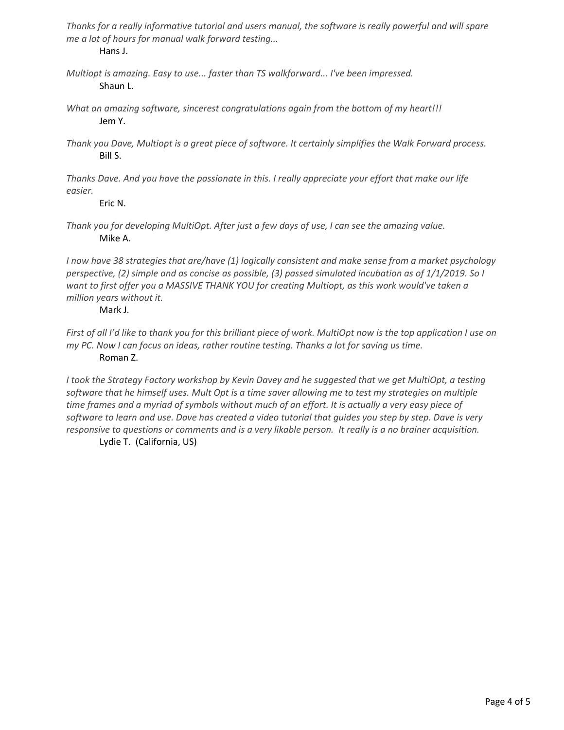*Thanks for a really informative tutorial and users manual, the software is really powerful and will spare me a lot of hours for manual walk forward testing...* Hans J.

*Multiopt is amazing. Easy to use... faster than TS walkforward... I've been impressed.* Shaun L.

- *What an amazing software, sincerest congratulations again from the bottom of my heart!!!* Jem Y.
- *Thank you Dave, Multiopt is a great piece of software. It certainly simplifies the Walk Forward process.* Bill S.

*Thanks Dave. And you have the passionate in this. I really appreciate your effort that make our life easier.*

Eric N.

*Thank you for developing MultiOpt. After just a few days of use, I can see the amazing value.* Mike A.

*I now have 38 strategies that are/have (1) logically consistent and make sense from a market psychology perspective, (2) simple and as concise as possible, (3) passed simulated incubation as of 1/1/2019. So I want to first offer you a MASSIVE THANK YOU for creating Multiopt, as this work would've taken a million years without it.*

#### Mark J.

*First of all I'd like to thank you for this brilliant piece of work. MultiOpt now is the top application I use on my PC. Now I can focus on ideas, rather routine testing. Thanks a lot for saving us time.* Roman Z.

*I took the Strategy Factory workshop by Kevin Davey and he suggested that we get MultiOpt, a testing software that he himself uses. Mult Opt is a time saver allowing me to test my strategies on multiple time frames and a myriad of symbols without much of an effort. It is actually a very easy piece of software to learn and use. Dave has created a video tutorial that guides you step by step. Dave is very responsive to questions or comments and is a very likable person. It really is a no brainer acquisition.* Lydie T. (California, US)